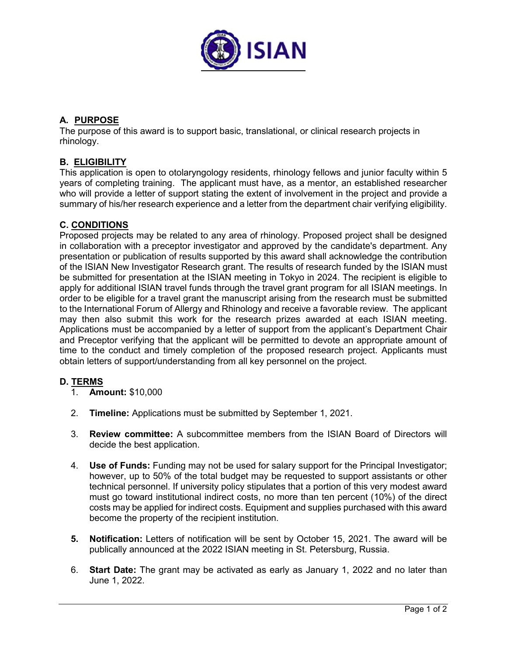

# **A. PURPOSE**

The purpose of this award is to support basic, translational, or clinical research projects in rhinology.

## **B. ELIGIBILITY**

This application is open to otolaryngology residents, rhinology fellows and junior faculty within 5 years of completing training. The applicant must have, as a mentor, an established researcher who will provide a letter of support stating the extent of involvement in the project and provide a summary of his/her research experience and a letter from the department chair verifying eligibility.

### **C. CONDITIONS**

Proposed projects may be related to any area of rhinology. Proposed project shall be designed in collaboration with a preceptor investigator and approved by the candidate's department. Any presentation or publication of results supported by this award shall acknowledge the contribution of the ISIAN New Investigator Research grant. The results of research funded by the ISIAN must be submitted for presentation at the ISIAN meeting in Tokyo in 2024. The recipient is eligible to apply for additional ISIAN travel funds through the travel grant program for all ISIAN meetings. In order to be eligible for a travel grant the manuscript arising from the research must be submitted to the International Forum of Allergy and Rhinology and receive a favorable review. The applicant may then also submit this work for the research prizes awarded at each ISIAN meeting. Applications must be accompanied by a letter of support from the applicant's Department Chair and Preceptor verifying that the applicant will be permitted to devote an appropriate amount of time to the conduct and timely completion of the proposed research project. Applicants must obtain letters of support/understanding from all key personnel on the project.

## **D. TERMS**

- 1. **Amount:** \$10,000
- 2. **Timeline:** Applications must be submitted by September 1, 2021.
- 3. **Review committee:** A subcommittee members from the ISIAN Board of Directors will decide the best application.
- 4. **Use of Funds:** Funding may not be used for salary support for the Principal Investigator; however, up to 50% of the total budget may be requested to support assistants or other technical personnel. If university policy stipulates that a portion of this very modest award must go toward institutional indirect costs, no more than ten percent (10%) of the direct costs may be applied for indirect costs. Equipment and supplies purchased with this award become the property of the recipient institution.
- **5. Notification:** Letters of notification will be sent by October 15, 2021. The award will be publically announced at the 2022 ISIAN meeting in St. Petersburg, Russia.
- 6. **Start Date:** The grant may be activated as early as January 1, 2022 and no later than June 1, 2022.